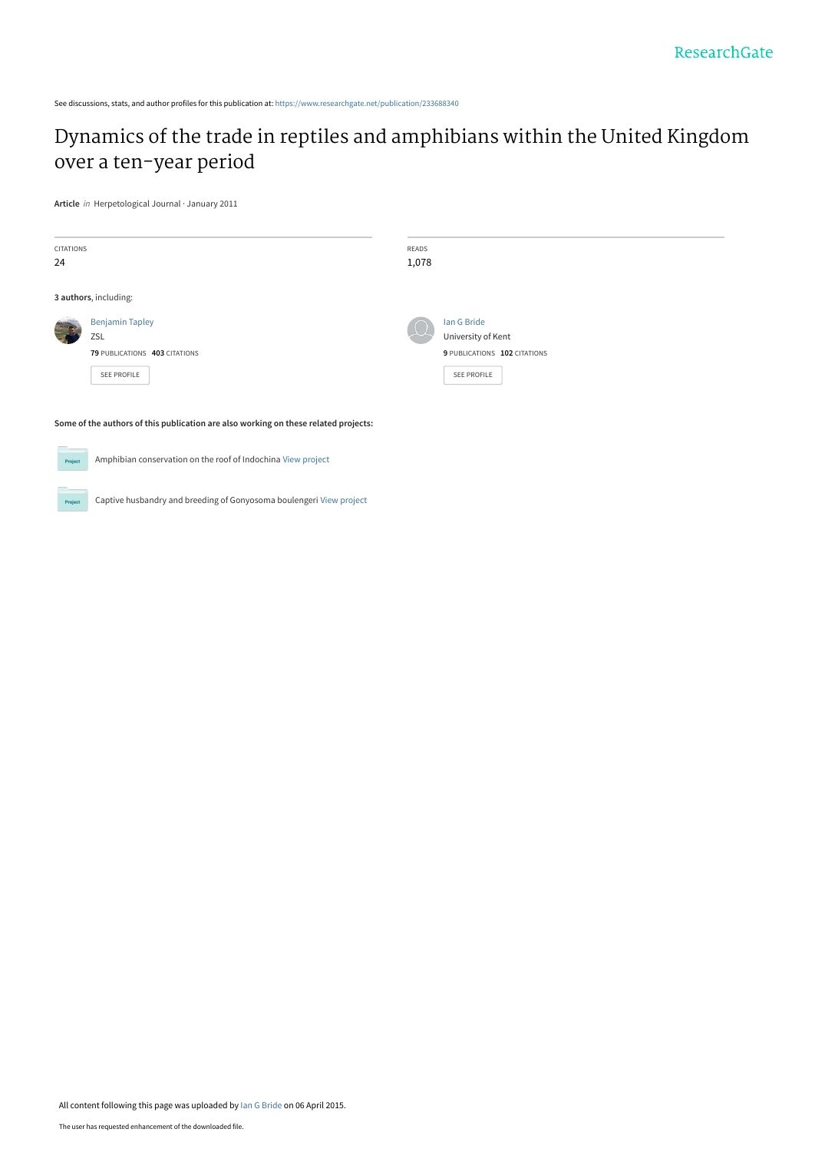See discussions, stats, and author profiles for this publication at: [https://www.researchgate.net/publication/233688340](https://www.researchgate.net/publication/233688340_Dynamics_of_the_trade_in_reptiles_and_amphibians_within_the_United_Kingdom_over_a_ten-year_period?enrichId=rgreq-0922343cb59320c5ffdacebde1f9baf6-XXX&enrichSource=Y292ZXJQYWdlOzIzMzY4ODM0MDtBUzoyMTUxODQ3MjAzMDYxNzZAMTQyODMxNTQ0MzU0MQ%3D%3D&el=1_x_2&_esc=publicationCoverPdf)

## [Dynamics of the trade in reptiles and amphibians within the United Kingdom](https://www.researchgate.net/publication/233688340_Dynamics_of_the_trade_in_reptiles_and_amphibians_within_the_United_Kingdom_over_a_ten-year_period?enrichId=rgreq-0922343cb59320c5ffdacebde1f9baf6-XXX&enrichSource=Y292ZXJQYWdlOzIzMzY4ODM0MDtBUzoyMTUxODQ3MjAzMDYxNzZAMTQyODMxNTQ0MzU0MQ%3D%3D&el=1_x_3&_esc=publicationCoverPdf) over a ten-year period

**Article** in Herpetological Journal · January 2011

| <b>CITATIONS</b><br>24                                                              |                                                                | READS<br>1,078 |                                                                   |  |  |
|-------------------------------------------------------------------------------------|----------------------------------------------------------------|----------------|-------------------------------------------------------------------|--|--|
|                                                                                     | 3 authors, including:                                          |                |                                                                   |  |  |
|                                                                                     | <b>Benjamin Tapley</b><br>ZSL<br>79 PUBLICATIONS 403 CITATIONS |                | Ian G Bride<br>University of Kent<br>9 PUBLICATIONS 102 CITATIONS |  |  |
|                                                                                     | SEE PROFILE                                                    |                | SEE PROFILE                                                       |  |  |
| Some of the authors of this publication are also working on these related projects: |                                                                |                |                                                                   |  |  |
| Amphibian conservation on the roof of Indochina View project<br>Project             |                                                                |                |                                                                   |  |  |

Captive husbandry and breeding of Gonyosoma boulengeri [View project](https://www.researchgate.net/project/Captive-husbandry-and-breeding-of-Gonyosoma-boulengeri?enrichId=rgreq-0922343cb59320c5ffdacebde1f9baf6-XXX&enrichSource=Y292ZXJQYWdlOzIzMzY4ODM0MDtBUzoyMTUxODQ3MjAzMDYxNzZAMTQyODMxNTQ0MzU0MQ%3D%3D&el=1_x_9&_esc=publicationCoverPdf) Project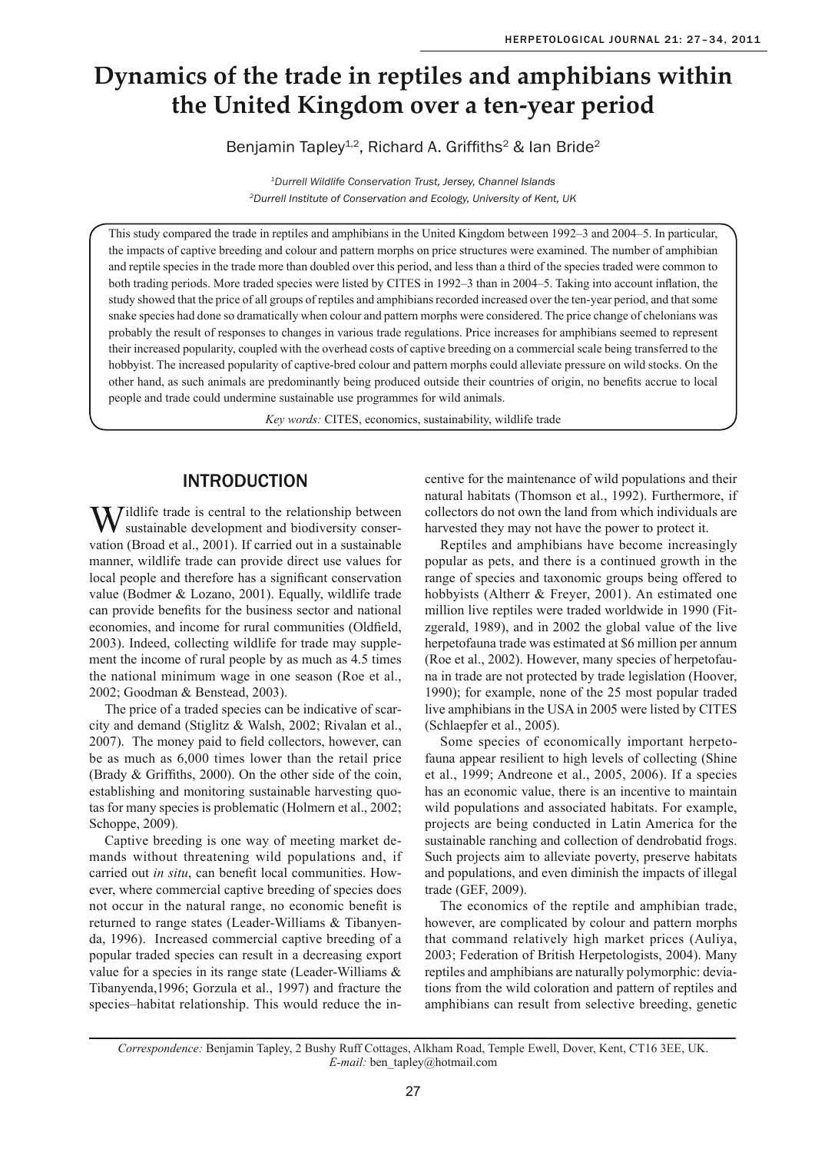# **Dynamics of the trade in reptiles and amphibians within the United Kingdom over a ten-year period**

Benjamin Tapley<sup>1,2</sup>, Richard A. Griffiths<sup>2</sup> & Ian Bride<sup>2</sup>

*1Durrell Wildlife Conservation Trust, Jersey, Channel Islands 2Durrell Institute of Conservation and Ecology, University of Kent, UK*

This study compared the trade in reptiles and amphibians in the United Kingdom between 1992–3 and 2004–5. In particular, the impacts of captive breeding and colour and pattern morphs on price structures were examined. The number of amphibian and reptile species in the trade more than doubled over this period, and less than a third of the species traded were common to both trading periods. More traded species were listed by CITES in 1992–3 than in 2004–5. Taking into account inflation, the study showed that the price of all groups of reptiles and amphibians recorded increased over the ten-year period, and that some snake species had done so dramatically when colour and pattern morphs were considered. The price change of chelonians was probably the result of responses to changes in various trade regulations. Price increases for amphibians seemed to represent their increased popularity, coupled with the overhead costs of captive breeding on a commercial scale being transferred to the hobbyist. The increased popularity of captive-bred colour and pattern morphs could alleviate pressure on wild stocks. On the other hand, as such animals are predominantly being produced outside their countries of origin, no benefits accrue to local people and trade could undermine sustainable use programmes for wild animals.

*Key words:* CITES, economics, sustainability, wildlife trade

## **INTRODUCTION**

 $\mathbf{W}$  ildlife trade is central to the relationship between sustainable development and biodiversity conservation (Broad et al., 2001). If carried out in a sustainable manner, wildlife trade can provide direct use values for local people and therefore has a significant conservation value (Bodmer & Lozano, 2001). Equally, wildlife trade can provide benefits for the business sector and national economies, and income for rural communities (Oldfield, 2003). Indeed, collecting wildlife for trade may supplement the income of rural people by as much as 4.5 times the national minimum wage in one season (Roe et al., 2002; Goodman & Benstead, 2003).

The price of a traded species can be indicative of scarcity and demand (Stiglitz & Walsh, 2002; Rivalan et al., 2007). The money paid to field collectors, however, can be as much as 6,000 times lower than the retail price (Brady & Griffiths, 2000). On the other side of the coin, establishing and monitoring sustainable harvesting quotas for many species is problematic (Holmern et al., 2002; Schoppe, 2009).

Captive breeding is one way of meeting market demands without threatening wild populations and, if carried out *in situ*, can benefit local communities. However, where commercial captive breeding of species does not occur in the natural range, no economic benefit is returned to range states (Leader-Williams & Tibanyenda, 1996). Increased commercial captive breeding of a popular traded species can result in a decreasing export value for a species in its range state (Leader-Williams & Tibanyenda,1996; Gorzula et al., 1997) and fracture the species–habitat relationship. This would reduce the incentive for the maintenance of wild populations and their natural habitats (Thomson et al., 1992). Furthermore, if collectors do not own the land from which individuals are harvested they may not have the power to protect it.

Reptiles and amphibians have become increasingly popular as pets, and there is a continued growth in the range of species and taxonomic groups being offered to hobbyists (Altherr & Freyer, 2001). An estimated one million live reptiles were traded worldwide in 1990 (Fitzgerald, 1989), and in 2002 the global value of the live herpetofauna trade was estimated at \$6 million per annum (Roe et al., 2002). However, many species of herpetofauna in trade are not protected by trade legislation (Hoover, 1990); for example, none of the 25 most popular traded live amphibians in the USA in 2005 were listed by CITES (Schlaepfer et al., 2005).

Some species of economically important herpetofauna appear resilient to high levels of collecting (Shine et al., 1999; Andreone et al., 2005, 2006). If a species has an economic value, there is an incentive to maintain wild populations and associated habitats. For example, projects are being conducted in Latin America for the sustainable ranching and collection of dendrobatid frogs. Such projects aim to alleviate poverty, preserve habitats and populations, and even diminish the impacts of illegal trade (GEF, 2009).

The economics of the reptile and amphibian trade, however, are complicated by colour and pattern morphs that command relatively high market prices (Auliya, 2003; Federation of British Herpetologists, 2004). Many reptiles and amphibians are naturally polymorphic: deviations from the wild coloration and pattern of reptiles and amphibians can result from selective breeding, genetic

*Correspondence:* Benjamin Tapley, 2 Bushy Ruff Cottages, Alkham Road, Temple Ewell, Dover, Kent, CT16 3EE, UK. *E-mail:* ben\_tapley@hotmail.com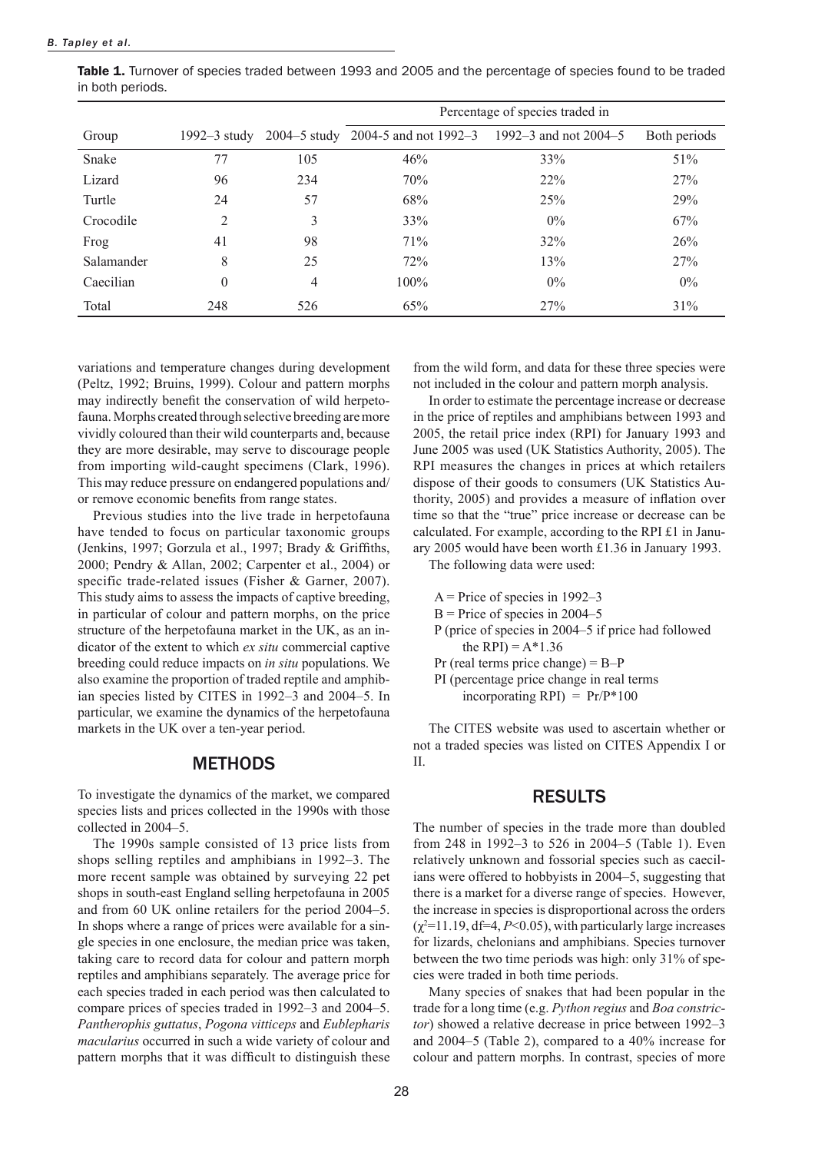|                  |  | Table 1. Turnover of species traded between 1993 and 2005 and the percentage of species found to be traded |  |  |  |  |
|------------------|--|------------------------------------------------------------------------------------------------------------|--|--|--|--|
| in both periods. |  |                                                                                                            |  |  |  |  |

|            |                  |     | Percentage of species traded in                          |        |              |
|------------|------------------|-----|----------------------------------------------------------|--------|--------------|
| Group      | $1992 - 3$ study |     | 2004–5 study 2004-5 and not 1992–3 1992–3 and not 2004–5 |        | Both periods |
| Snake      | 77               | 105 | 46%                                                      | 33%    | 51%          |
| Lizard     | 96               | 234 | 70%                                                      | $22\%$ | 27%          |
| Turtle     | 24               | 57  | 68%                                                      | 25%    | 29%          |
| Crocodile  | 2                | 3   | 33%                                                      | $0\%$  | 67%          |
| Frog       | 41               | 98  | 71%                                                      | 32%    | 26%          |
| Salamander | 8                | 25  | 72%                                                      | 13%    | 27%          |
| Caecilian  | $\overline{0}$   | 4   | 100%                                                     | $0\%$  | $0\%$        |
| Total      | 248              | 526 | 65%                                                      | 27%    | 31%          |

variations and temperature changes during development (Peltz, 1992; Bruins, 1999). Colour and pattern morphs may indirectly benefit the conservation of wild herpetofauna. Morphs created through selective breeding are more vividly coloured than their wild counterparts and, because they are more desirable, may serve to discourage people from importing wild-caught specimens (Clark, 1996). This may reduce pressure on endangered populations and/ or remove economic benefits from range states.

Previous studies into the live trade in herpetofauna have tended to focus on particular taxonomic groups (Jenkins, 1997; Gorzula et al., 1997; Brady & Griffiths, 2000; Pendry & Allan, 2002; Carpenter et al., 2004) or specific trade-related issues (Fisher & Garner, 2007). This study aims to assess the impacts of captive breeding, in particular of colour and pattern morphs, on the price structure of the herpetofauna market in the UK, as an indicator of the extent to which *ex situ* commercial captive breeding could reduce impacts on *in situ* populations. We also examine the proportion of traded reptile and amphibian species listed by CITES in 1992–3 and 2004–5. In particular, we examine the dynamics of the herpetofauna markets in the UK over a ten-year period.

#### **METHODS**

To investigate the dynamics of the market, we compared species lists and prices collected in the 1990s with those collected in 2004–5.

The 1990s sample consisted of 13 price lists from shops selling reptiles and amphibians in 1992–3. The more recent sample was obtained by surveying 22 pet shops in south-east England selling herpetofauna in 2005 and from 60 UK online retailers for the period 2004–5. In shops where a range of prices were available for a single species in one enclosure, the median price was taken, taking care to record data for colour and pattern morph reptiles and amphibians separately. The average price for each species traded in each period was then calculated to compare prices of species traded in 1992–3 and 2004–5. *Pantherophis guttatus*, *Pogona vitticeps* and *Eublepharis macularius* occurred in such a wide variety of colour and pattern morphs that it was difficult to distinguish these from the wild form, and data for these three species were not included in the colour and pattern morph analysis.

In order to estimate the percentage increase or decrease in the price of reptiles and amphibians between 1993 and 2005, the retail price index (RPI) for January 1993 and June 2005 was used (UK Statistics Authority, 2005). The RPI measures the changes in prices at which retailers dispose of their goods to consumers (UK Statistics Authority, 2005) and provides a measure of inflation over time so that the "true" price increase or decrease can be calculated. For example, according to the RPI £1 in January 2005 would have been worth £1.36 in January 1993.

The following data were used:

```
A = Price of species in 1992-3B = Price of species in 2004–5
P (price of species in 2004–5 if price had followed 
    the RPI) = A*1.36Pr (real terms price change) = B-PPI (percentage price change in real terms 
    incorporating RPI) = Pr/P*100
```
The CITES website was used to ascertain whether or not a traded species was listed on CITES Appendix I or II.

### **RESULTS**

The number of species in the trade more than doubled from 248 in 1992–3 to 526 in 2004–5 (Table 1). Even relatively unknown and fossorial species such as caecilians were offered to hobbyists in 2004–5, suggesting that there is a market for a diverse range of species. However, the increase in species is disproportional across the orders  $(\chi^2$ =11.19, df=4, *P*<0.05), with particularly large increases for lizards, chelonians and amphibians. Species turnover between the two time periods was high: only 31% of species were traded in both time periods.

Many species of snakes that had been popular in the trade for a long time (e.g. *Python regius* and *Boa constrictor*) showed a relative decrease in price between 1992–3 and 2004–5 (Table 2), compared to a 40% increase for colour and pattern morphs. In contrast, species of more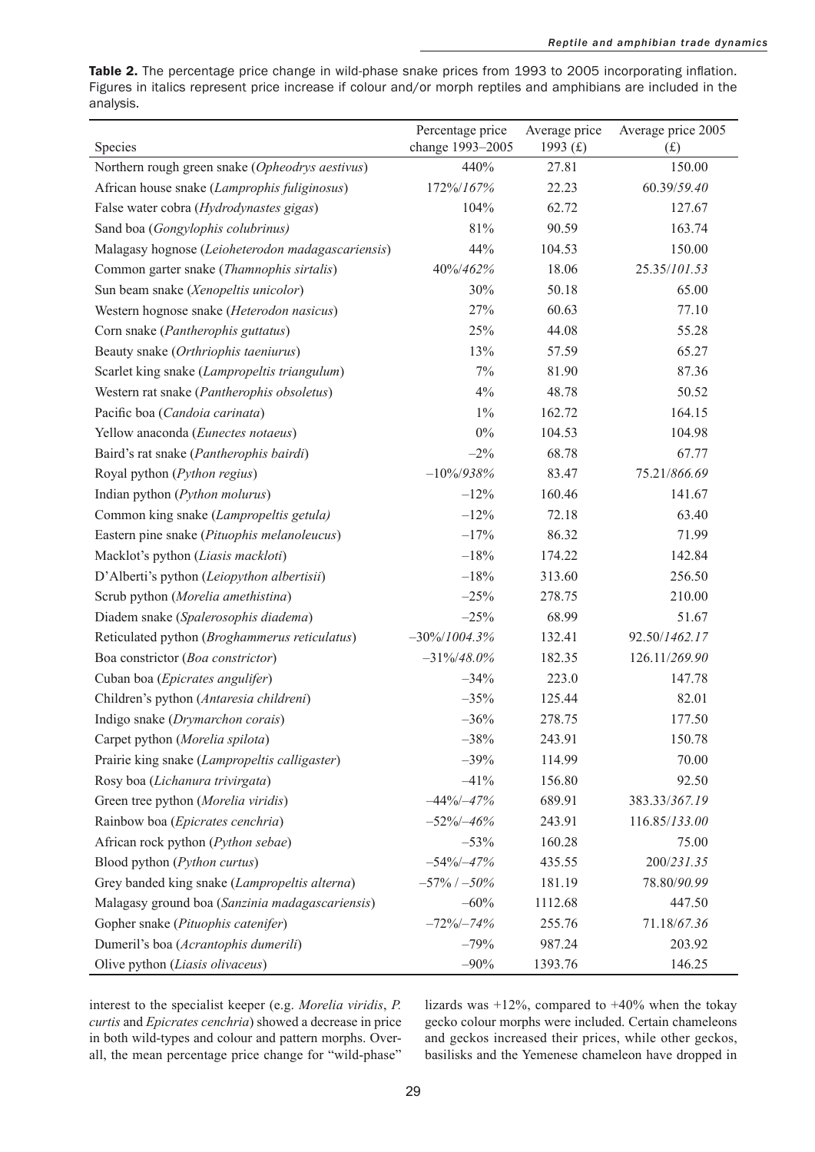Table 2. The percentage price change in wild-phase snake prices from 1993 to 2005 incorporating inflation. Figures in italics represent price increase if colour and/or morph reptiles and amphibians are included in the analysis.

| Species                                           | Percentage price<br>change 1993-2005 | Average price<br>1993 $(f)$ | Average price 2005<br>(f) |
|---------------------------------------------------|--------------------------------------|-----------------------------|---------------------------|
| Northern rough green snake (Opheodrys aestivus)   | 440%                                 | 27.81                       | 150.00                    |
| African house snake (Lamprophis fuliginosus)      | 172%/167%                            | 22.23                       | 60.39/59.40               |
| False water cobra (Hydrodynastes gigas)           | 104%                                 | 62.72                       | 127.67                    |
| Sand boa (Gongylophis colubrinus)                 | 81%                                  | 90.59                       | 163.74                    |
| Malagasy hognose (Leioheterodon madagascariensis) | 44%                                  | 104.53                      | 150.00                    |
| Common garter snake (Thamnophis sirtalis)         | 40%/462%                             | 18.06                       | 25.35/101.53              |
| Sun beam snake (Xenopeltis unicolor)              | 30%                                  | 50.18                       | 65.00                     |
| Western hognose snake (Heterodon nasicus)         | 27%                                  | 60.63                       | 77.10                     |
| Corn snake (Pantherophis guttatus)                | 25%                                  | 44.08                       | 55.28                     |
| Beauty snake (Orthriophis taeniurus)              | 13%                                  | 57.59                       | 65.27                     |
| Scarlet king snake (Lampropeltis triangulum)      | 7%                                   | 81.90                       | 87.36                     |
| Western rat snake (Pantherophis obsoletus)        | 4%                                   | 48.78                       | 50.52                     |
| Pacific boa (Candoia carinata)                    | $1\%$                                | 162.72                      | 164.15                    |
| Yellow anaconda (Eunectes notaeus)                | $0\%$                                | 104.53                      | 104.98                    |
| Baird's rat snake (Pantherophis bairdi)           | $-2\%$                               | 68.78                       | 67.77                     |
| Royal python (Python regius)                      | $-10\%/938\%$                        | 83.47                       | 75.21/866.69              |
| Indian python (Python molurus)                    | $-12%$                               | 160.46                      | 141.67                    |
| Common king snake (Lampropeltis getula)           | $-12%$                               | 72.18                       | 63.40                     |
| Eastern pine snake (Pituophis melanoleucus)       | $-17%$                               | 86.32                       | 71.99                     |
| Macklot's python (Liasis mackloti)                | $-18%$                               | 174.22                      | 142.84                    |
| D'Alberti's python (Leiopython albertisii)        | $-18%$                               | 313.60                      | 256.50                    |
| Scrub python (Morelia amethistina)                | $-25%$                               | 278.75                      | 210.00                    |
| Diadem snake (Spalerosophis diadema)              | $-25%$                               | 68.99                       | 51.67                     |
| Reticulated python (Broghammerus reticulatus)     | $-30\%/1004.3\%$                     | 132.41                      | 92.50/1462.17             |
| Boa constrictor (Boa constrictor)                 | $-31\%/48.0\%$                       | 182.35                      | 126.11/269.90             |
| Cuban boa (Epicrates angulifer)                   | $-34%$                               | 223.0                       | 147.78                    |
| Children's python (Antaresia childreni)           | $-35%$                               | 125.44                      | 82.01                     |
| Indigo snake (Drymarchon corais)                  | $-36%$                               | 278.75                      | 177.50                    |
| Carpet python (Morelia spilota)                   | $-38%$                               | 243.91                      | 150.78                    |
| Prairie king snake (Lampropeltis calligaster)     | $-39%$                               | 114.99                      | 70.00                     |
| Rosy boa (Lichanura trivirgata)                   | $-41%$                               | 156.80                      | 92.50                     |
| Green tree python (Morelia viridis)               | $-44\%/ -47\%$                       | 689.91                      | 383.33/367.19             |
| Rainbow boa (Epicrates cenchria)                  | $-52\%/ -46\%$                       | 243.91                      | 116.85/133.00             |
| African rock python (Python sebae)                | $-53%$                               | 160.28                      | 75.00                     |
| Blood python (Python curtus)                      | $-54\%/ -47\%$                       | 435.55                      | 200/231.35                |
| Grey banded king snake (Lampropeltis alterna)     | $-57\%$ / $-50\%$                    | 181.19                      | 78.80/90.99               |
| Malagasy ground boa (Sanzinia madagascariensis)   | $-60%$                               | 1112.68                     | 447.50                    |
| Gopher snake (Pituophis catenifer)                | $-72\%/ -74\%$                       | 255.76                      | 71.18/67.36               |
| Dumeril's boa (Acrantophis dumerili)              | $-79%$                               | 987.24                      | 203.92                    |
| Olive python (Liasis olivaceus)                   | $-90%$                               | 1393.76                     | 146.25                    |

interest to the specialist keeper (e.g. *Morelia viridis*, *P. curtis* and *Epicrates cenchria*) showed a decrease in price in both wild-types and colour and pattern morphs. Overall, the mean percentage price change for "wild-phase" lizards was  $+12\%$ , compared to  $+40\%$  when the tokay gecko colour morphs were included. Certain chameleons and geckos increased their prices, while other geckos, basilisks and the Yemenese chameleon have dropped in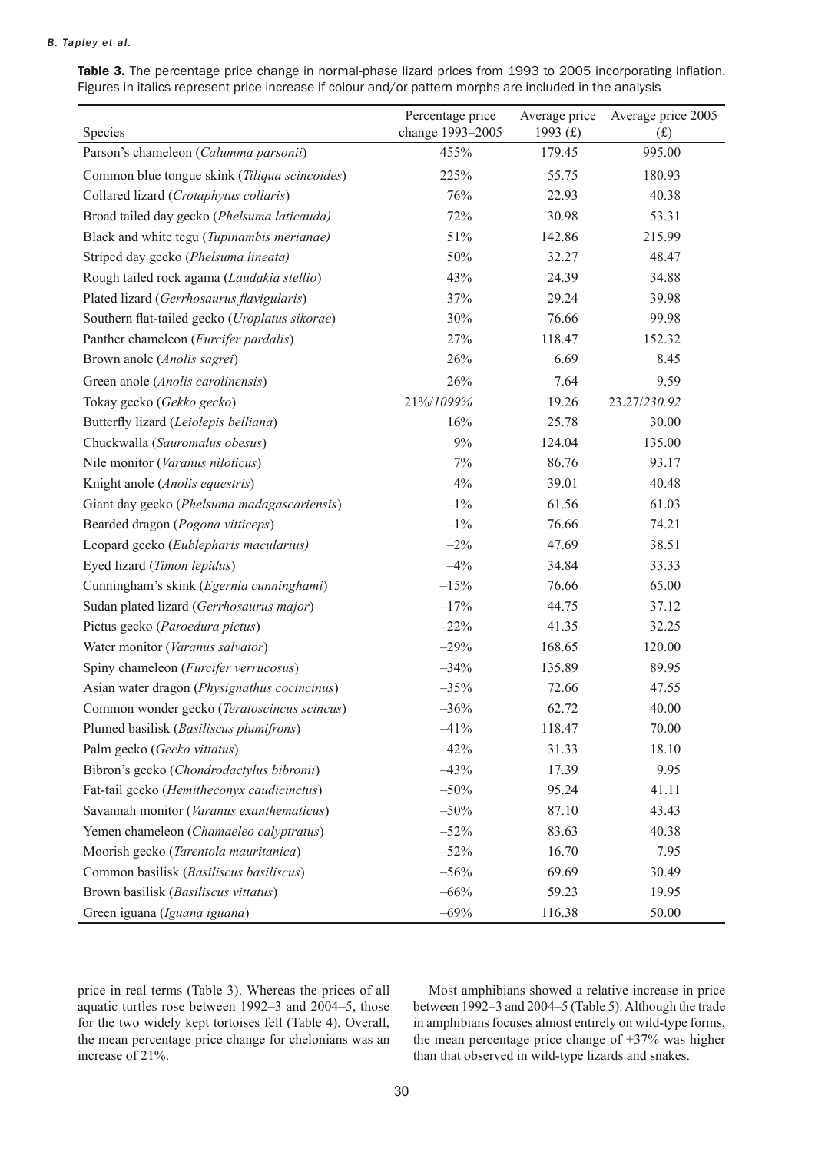#### *B. Tapley et al.*

Table 3. The percentage price change in normal-phase lizard prices from 1993 to 2005 incorporating inflation. Figures in italics represent price increase if colour and/or pattern morphs are included in the analysis

| Species                                        | Percentage price<br>change 1993-2005 | Average price<br>1993 $(f)$ | Average price 2005<br>(f) |
|------------------------------------------------|--------------------------------------|-----------------------------|---------------------------|
| Parson's chameleon (Calumma parsonii)          | 455%                                 | 179.45                      | 995.00                    |
| Common blue tongue skink (Tiliqua scincoides)  | 225%                                 | 55.75                       | 180.93                    |
| Collared lizard (Crotaphytus collaris)         | 76%                                  | 22.93                       | 40.38                     |
| Broad tailed day gecko (Phelsuma laticauda)    | 72%                                  | 30.98                       | 53.31                     |
| Black and white tegu (Tupinambis merianae)     | 51%                                  | 142.86                      | 215.99                    |
| Striped day gecko (Phelsuma lineata)           | 50%                                  | 32.27                       | 48.47                     |
| Rough tailed rock agama (Laudakia stellio)     | 43%                                  | 24.39                       | 34.88                     |
| Plated lizard (Gerrhosaurus flavigularis)      | 37%                                  | 29.24                       | 39.98                     |
| Southern flat-tailed gecko (Uroplatus sikorae) | 30%                                  | 76.66                       | 99.98                     |
| Panther chameleon (Furcifer pardalis)          | 27%                                  | 118.47                      | 152.32                    |
| Brown anole (Anolis sagrei)                    | 26%                                  | 6.69                        | 8.45                      |
| Green anole (Anolis carolinensis)              | 26%                                  | 7.64                        | 9.59                      |
| Tokay gecko (Gekko gecko)                      | 21%/1099%                            | 19.26                       | 23.27/230.92              |
| Butterfly lizard (Leiolepis belliana)          | 16%                                  | 25.78                       | 30.00                     |
| Chuckwalla (Sauromalus obesus)                 | 9%                                   | 124.04                      | 135.00                    |
| Nile monitor (Varanus niloticus)               | 7%                                   | 86.76                       | 93.17                     |
| Knight anole (Anolis equestris)                | 4%                                   | 39.01                       | 40.48                     |
| Giant day gecko (Phelsuma madagascariensis)    | $-1\%$                               | 61.56                       | 61.03                     |
| Bearded dragon (Pogona vitticeps)              | $-1\%$                               | 76.66                       | 74.21                     |
| Leopard gecko (Eublepharis macularius)         | $-2\%$                               | 47.69                       | 38.51                     |
| Eyed lizard (Timon lepidus)                    | $-4%$                                | 34.84                       | 33.33                     |
| Cunningham's skink (Egernia cunninghami)       | $-15%$                               | 76.66                       | 65.00                     |
| Sudan plated lizard (Gerrhosaurus major)       | $-17%$                               | 44.75                       | 37.12                     |
| Pictus gecko (Paroedura pictus)                | $-22%$                               | 41.35                       | 32.25                     |
| Water monitor (Varanus salvator)               | $-29%$                               | 168.65                      | 120.00                    |
| Spiny chameleon (Furcifer verrucosus)          | $-34%$                               | 135.89                      | 89.95                     |
| Asian water dragon (Physignathus cocincinus)   | $-35%$                               | 72.66                       | 47.55                     |
| Common wonder gecko (Teratoscincus scincus)    | $-36%$                               | 62.72                       | 40.00                     |
| Plumed basilisk (Basiliscus plumifrons)        | $-41%$                               | 118.47                      | 70.00                     |
| Palm gecko (Gecko vittatus)                    | $-42%$                               | 31.33                       | 18.10                     |
| Bibron's gecko (Chondrodactylus bibronii)      | $-43%$                               | 17.39                       | 9.95                      |
| Fat-tail gecko (Hemitheconyx caudicinctus)     | $-50%$                               | 95.24                       | 41.11                     |
| Savannah monitor (Varanus exanthematicus)      | $-50%$                               | 87.10                       | 43.43                     |
| Yemen chameleon (Chamaeleo calyptratus)        | $-52%$                               | 83.63                       | 40.38                     |
| Moorish gecko (Tarentola mauritanica)          | $-52%$                               | 16.70                       | 7.95                      |
| Common basilisk (Basiliscus basiliscus)        | $-56%$                               | 69.69                       | 30.49                     |
| Brown basilisk (Basiliscus vittatus)           | $-66%$                               | 59.23                       | 19.95                     |
| Green iguana (Iguana iguana)                   | $-69%$                               | 116.38                      | 50.00                     |

price in real terms (Table 3). Whereas the prices of all aquatic turtles rose between 1992–3 and 2004–5, those for the two widely kept tortoises fell (Table 4). Overall, the mean percentage price change for chelonians was an increase of 21%.

Most amphibians showed a relative increase in price between 1992–3 and 2004–5 (Table 5). Although the trade in amphibians focuses almost entirely on wild-type forms, the mean percentage price change of +37% was higher than that observed in wild-type lizards and snakes.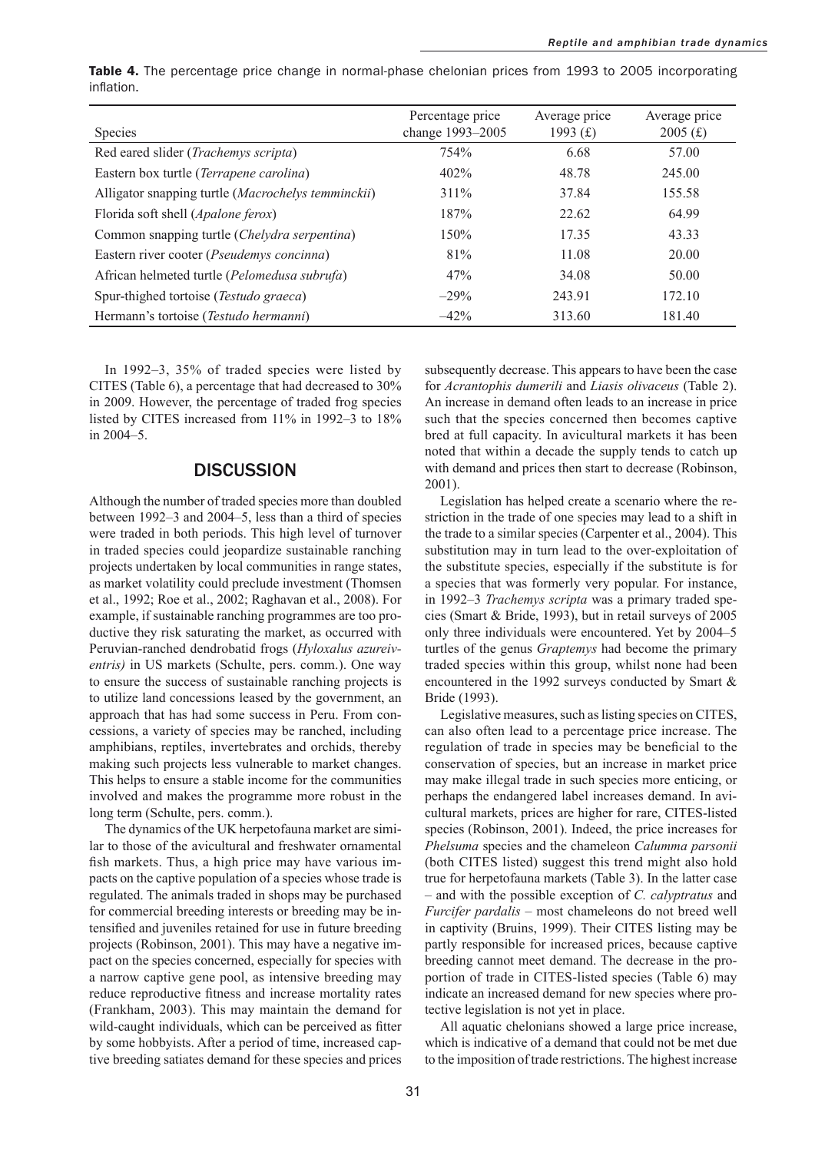| <b>Species</b>                                     | Percentage price<br>change 1993-2005 | Average price<br>1993 $(f)$ | Average price<br>2005(f) |
|----------------------------------------------------|--------------------------------------|-----------------------------|--------------------------|
| Red eared slider ( <i>Trachemys scripta</i> )      | 754%                                 | 6.68                        | 57.00                    |
| Eastern box turtle (Terrapene carolina)            | 402%                                 | 48.78                       | 245.00                   |
| Alligator snapping turtle (Macrochelys temminckii) | 311%                                 | 37.84                       | 155.58                   |
| Florida soft shell (Apalone ferox)                 | 187%                                 | 22.62                       | 64.99                    |
| Common snapping turtle (Chelydra serpentina)       | 150%                                 | 17.35                       | 43.33                    |
| Eastern river cooter (Pseudemys concinna)          | 81%                                  | 11.08                       | 20.00                    |
| African helmeted turtle (Pelomedusa subrufa)       | 47%                                  | 34.08                       | 50.00                    |
| Spur-thighed tortoise (Testudo graeca)             | $-29\%$                              | 243.91                      | 172.10                   |
| Hermann's tortoise (Testudo hermanni)              | $-42%$                               | 313.60                      | 181.40                   |

**Table 4.** The percentage price change in normal-phase chelonian prices from 1993 to 2005 incorporating inflation.

In 1992–3, 35% of traded species were listed by CITES (Table 6), a percentage that had decreased to 30% in 2009. However, the percentage of traded frog species listed by CITES increased from 11% in 1992–3 to 18% in 2004–5.

## **DISCUSSION**

Although the number of traded species more than doubled between 1992–3 and 2004–5, less than a third of species were traded in both periods. This high level of turnover in traded species could jeopardize sustainable ranching projects undertaken by local communities in range states, as market volatility could preclude investment (Thomsen et al., 1992; Roe et al., 2002; Raghavan et al., 2008). For example, if sustainable ranching programmes are too productive they risk saturating the market, as occurred with Peruvian-ranched dendrobatid frogs (*Hyloxalus azureiventris)* in US markets (Schulte, pers. comm.). One way to ensure the success of sustainable ranching projects is to utilize land concessions leased by the government, an approach that has had some success in Peru. From concessions, a variety of species may be ranched, including amphibians, reptiles, invertebrates and orchids, thereby making such projects less vulnerable to market changes. This helps to ensure a stable income for the communities involved and makes the programme more robust in the long term (Schulte, pers. comm.).

The dynamics of the UK herpetofauna market are similar to those of the avicultural and freshwater ornamental fish markets. Thus, a high price may have various impacts on the captive population of a species whose trade is regulated. The animals traded in shops may be purchased for commercial breeding interests or breeding may be intensified and juveniles retained for use in future breeding projects (Robinson, 2001). This may have a negative impact on the species concerned, especially for species with a narrow captive gene pool, as intensive breeding may reduce reproductive fitness and increase mortality rates (Frankham, 2003). This may maintain the demand for wild-caught individuals, which can be perceived as fitter by some hobbyists. After a period of time, increased captive breeding satiates demand for these species and prices subsequently decrease. This appears to have been the case for *Acrantophis dumerili* and *Liasis olivaceus* (Table 2). An increase in demand often leads to an increase in price such that the species concerned then becomes captive bred at full capacity. In avicultural markets it has been noted that within a decade the supply tends to catch up with demand and prices then start to decrease (Robinson, 2001).

Legislation has helped create a scenario where the restriction in the trade of one species may lead to a shift in the trade to a similar species (Carpenter et al., 2004). This substitution may in turn lead to the over-exploitation of the substitute species, especially if the substitute is for a species that was formerly very popular. For instance, in 1992–3 *Trachemys scripta* was a primary traded species (Smart & Bride, 1993), but in retail surveys of 2005 only three individuals were encountered. Yet by 2004–5 turtles of the genus *Graptemys* had become the primary traded species within this group, whilst none had been encountered in the 1992 surveys conducted by Smart & Bride (1993).

Legislative measures, such as listing species on CITES, can also often lead to a percentage price increase. The regulation of trade in species may be beneficial to the conservation of species, but an increase in market price may make illegal trade in such species more enticing, or perhaps the endangered label increases demand. In avicultural markets, prices are higher for rare, CITES-listed species (Robinson, 2001). Indeed, the price increases for *Phelsuma* species and the chameleon *Calumma parsonii* (both CITES listed) suggest this trend might also hold true for herpetofauna markets (Table 3). In the latter case – and with the possible exception of *C. calyptratus* and *Furcifer pardalis* – most chameleons do not breed well in captivity (Bruins, 1999). Their CITES listing may be partly responsible for increased prices, because captive breeding cannot meet demand. The decrease in the proportion of trade in CITES-listed species (Table 6) may indicate an increased demand for new species where protective legislation is not yet in place.

All aquatic chelonians showed a large price increase, which is indicative of a demand that could not be met due to the imposition of trade restrictions. The highest increase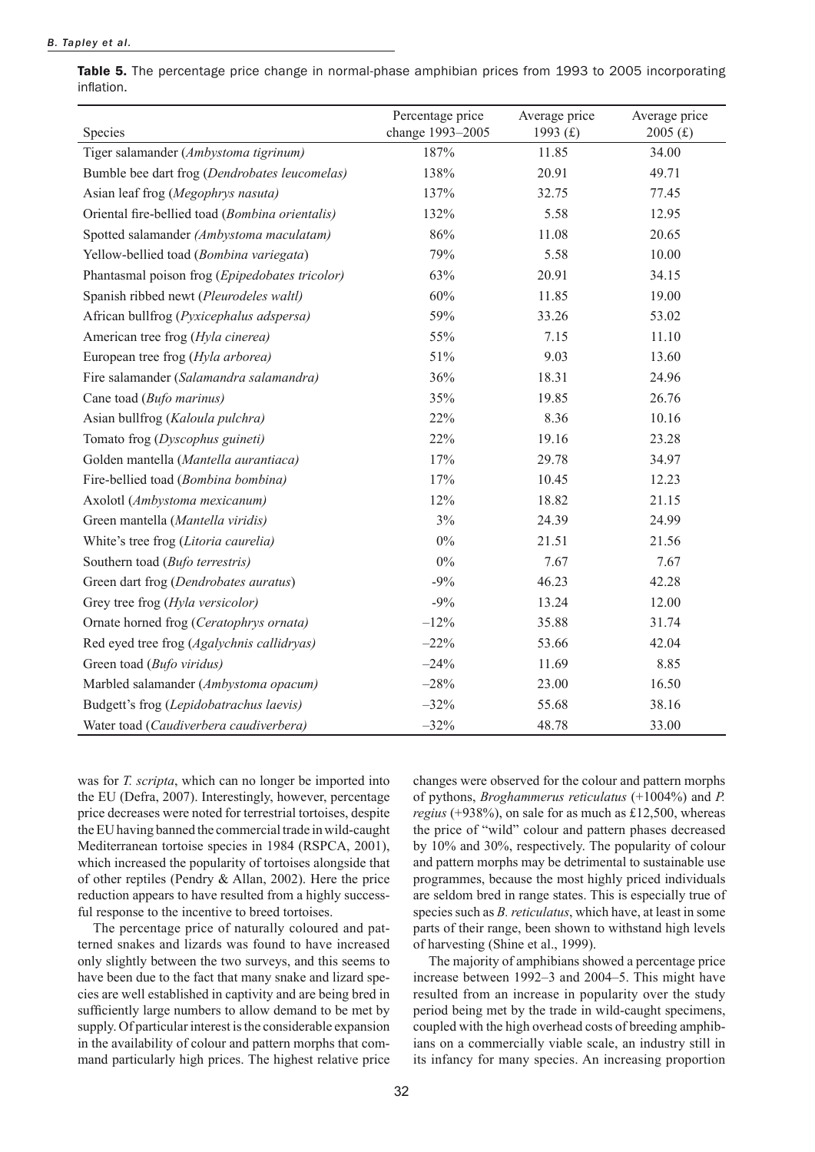#### *B. Tapley et al.*

Table 5. The percentage price change in normal-phase amphibian prices from 1993 to 2005 incorporating inflation.

| Species                                         | Percentage price<br>change 1993-2005 | Average price<br>1993 $(f)$ | Average price<br>2005(f) |
|-------------------------------------------------|--------------------------------------|-----------------------------|--------------------------|
| Tiger salamander (Ambystoma tigrinum)           | 187%                                 | 11.85                       | 34.00                    |
| Bumble bee dart frog (Dendrobates leucomelas)   | 138%                                 | 20.91                       | 49.71                    |
| Asian leaf frog (Megophrys nasuta)              | 137%                                 | 32.75                       | 77.45                    |
| Oriental fire-bellied toad (Bombina orientalis) | 132%                                 | 5.58                        | 12.95                    |
| Spotted salamander (Ambystoma maculatam)        | 86%                                  | 11.08                       | 20.65                    |
| Yellow-bellied toad (Bombina variegata)         | 79%                                  | 5.58                        | 10.00                    |
| Phantasmal poison frog (Epipedobates tricolor)  | 63%                                  | 20.91                       | 34.15                    |
| Spanish ribbed newt (Pleurodeles waltl)         | 60%                                  | 11.85                       | 19.00                    |
| African bullfrog (Pyxicephalus adspersa)        | 59%                                  | 33.26                       | 53.02                    |
| American tree frog (Hyla cinerea)               | 55%                                  | 7.15                        | 11.10                    |
| European tree frog (Hyla arborea)               | 51%                                  | 9.03                        | 13.60                    |
| Fire salamander (Salamandra salamandra)         | 36%                                  | 18.31                       | 24.96                    |
| Cane toad (Bufo marinus)                        | 35%                                  | 19.85                       | 26.76                    |
| Asian bullfrog (Kaloula pulchra)                | 22%                                  | 8.36                        | 10.16                    |
| Tomato frog (Dyscophus guineti)                 | 22%                                  | 19.16                       | 23.28                    |
| Golden mantella (Mantella aurantiaca)           | 17%                                  | 29.78                       | 34.97                    |
| Fire-bellied toad (Bombina bombina)             | 17%                                  | 10.45                       | 12.23                    |
| Axolotl (Ambystoma mexicanum)                   | 12%                                  | 18.82                       | 21.15                    |
| Green mantella (Mantella viridis)               | 3%                                   | 24.39                       | 24.99                    |
| White's tree frog (Litoria caurelia)            | $0\%$                                | 21.51                       | 21.56                    |
| Southern toad (Bufo terrestris)                 | $0\%$                                | 7.67                        | 7.67                     |
| Green dart frog (Dendrobates auratus)           | $-9%$                                | 46.23                       | 42.28                    |
| Grey tree frog (Hyla versicolor)                | $-9%$                                | 13.24                       | 12.00                    |
| Ornate horned frog (Ceratophrys ornata)         | $-12%$                               | 35.88                       | 31.74                    |
| Red eyed tree frog (Agalychnis callidryas)      | $-22%$                               | 53.66                       | 42.04                    |
| Green toad (Bufo viridus)                       | $-24%$                               | 11.69                       | 8.85                     |
| Marbled salamander (Ambystoma opacum)           | $-28%$                               | 23.00                       | 16.50                    |
| Budgett's frog (Lepidobatrachus laevis)         | $-32%$                               | 55.68                       | 38.16                    |
| Water toad (Caudiverbera caudiverbera)          | $-32%$                               | 48.78                       | 33.00                    |

was for *T. scripta*, which can no longer be imported into the EU (Defra, 2007). Interestingly, however, percentage price decreases were noted for terrestrial tortoises, despite the EU having banned the commercial trade in wild-caught Mediterranean tortoise species in 1984 (RSPCA, 2001), which increased the popularity of tortoises alongside that of other reptiles (Pendry & Allan, 2002). Here the price reduction appears to have resulted from a highly successful response to the incentive to breed tortoises.

The percentage price of naturally coloured and patterned snakes and lizards was found to have increased only slightly between the two surveys, and this seems to have been due to the fact that many snake and lizard species are well established in captivity and are being bred in sufficiently large numbers to allow demand to be met by supply. Of particular interest is the considerable expansion in the availability of colour and pattern morphs that command particularly high prices. The highest relative price changes were observed for the colour and pattern morphs of pythons, *Broghammerus reticulatus* (+1004%) and *P. regius* (+938%), on sale for as much as £12,500, whereas the price of "wild" colour and pattern phases decreased by 10% and 30%, respectively. The popularity of colour and pattern morphs may be detrimental to sustainable use programmes, because the most highly priced individuals are seldom bred in range states. This is especially true of species such as *B. reticulatus*, which have, at least in some parts of their range, been shown to withstand high levels of harvesting (Shine et al., 1999).

The majority of amphibians showed a percentage price increase between 1992–3 and 2004–5. This might have resulted from an increase in popularity over the study period being met by the trade in wild-caught specimens, coupled with the high overhead costs of breeding amphibians on a commercially viable scale, an industry still in its infancy for many species. An increasing proportion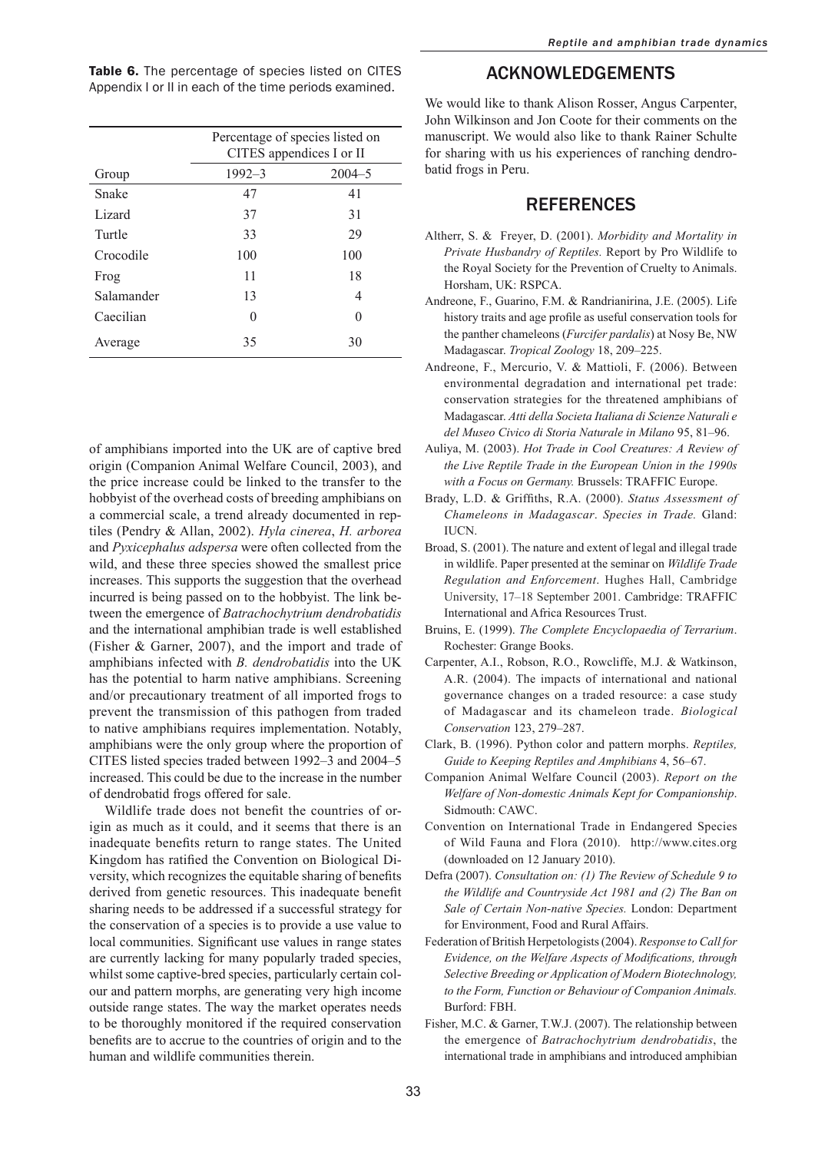|            | Percentage of species listed on<br>CITES appendices I or II |              |  |
|------------|-------------------------------------------------------------|--------------|--|
| Group      | $1992 - 3$                                                  | $2004 - 5$   |  |
| Snake      | 47                                                          | 41           |  |
| Lizard     | 37                                                          | 31           |  |
| Turtle     | 33                                                          | 29           |  |
| Crocodile  | 100                                                         | 100          |  |
| Frog       | 11                                                          | 18           |  |
| Salamander | 13                                                          | 4            |  |
| Caecilian  | $\mathbf{0}$                                                | $\mathbf{0}$ |  |
| Average    | 35                                                          | 30           |  |

Table 6. The percentage of species listed on CITES Appendix I or II in each of the time periods examined.

of amphibians imported into the UK are of captive bred origin (Companion Animal Welfare Council, 2003), and the price increase could be linked to the transfer to the hobbyist of the overhead costs of breeding amphibians on a commercial scale, a trend already documented in reptiles (Pendry & Allan, 2002). *Hyla cinerea*, *H. arborea* and *Pyxicephalus adspersa* were often collected from the wild, and these three species showed the smallest price increases. This supports the suggestion that the overhead incurred is being passed on to the hobbyist. The link between the emergence of *Batrachochytrium dendrobatidis* and the international amphibian trade is well established (Fisher & Garner, 2007), and the import and trade of amphibians infected with *B. dendrobatidis* into the UK has the potential to harm native amphibians. Screening and/or precautionary treatment of all imported frogs to prevent the transmission of this pathogen from traded to native amphibians requires implementation. Notably, amphibians were the only group where the proportion of CITES listed species traded between 1992–3 and 2004–5 increased. This could be due to the increase in the number of dendrobatid frogs offered for sale.

Wildlife trade does not benefit the countries of origin as much as it could, and it seems that there is an inadequate benefits return to range states. The United Kingdom has ratified the Convention on Biological Diversity, which recognizes the equitable sharing of benefits derived from genetic resources. This inadequate benefit sharing needs to be addressed if a successful strategy for the conservation of a species is to provide a use value to local communities. Significant use values in range states are currently lacking for many popularly traded species, whilst some captive-bred species, particularly certain colour and pattern morphs, are generating very high income outside range states. The way the market operates needs to be thoroughly monitored if the required conservation benefits are to accrue to the countries of origin and to the human and wildlife communities therein.

## Acknowledgements

We would like to thank Alison Rosser, Angus Carpenter, John Wilkinson and Jon Coote for their comments on the manuscript. We would also like to thank Rainer Schulte for sharing with us his experiences of ranching dendrobatid frogs in Peru.

## **REFERENCES**

- Altherr, S. & Freyer, D. (2001). *Morbidity and Mortality in Private Husbandry of Reptiles.* Report by Pro Wildlife to the Royal Society for the Prevention of Cruelty to Animals. Horsham, UK: RSPCA.
- Andreone, F., Guarino, F.M. & Randrianirina, J.E. (2005). Life history traits and age profile as useful conservation tools for the panther chameleons (*Furcifer pardalis*) at Nosy Be, NW Madagascar. *Tropical Zoology* 18, 209–225.
- Andreone, F., Mercurio, V. & Mattioli, F. (2006). Between environmental degradation and international pet trade: conservation strategies for the threatened amphibians of Madagascar. *Atti della Societa Italiana di Scienze Naturali e del Museo Civico di Storia Naturale in Milano* 95, 81–96.
- Auliya, M. (2003). *Hot Trade in Cool Creatures: A Review of the Live Reptile Trade in the European Union in the 1990s with a Focus on Germany.* Brussels: TRAFFIC Europe.
- Brady, L.D. & Griffiths, R.A. (2000). *Status Assessment of Chameleons in Madagascar*. *Species in Trade.* Gland: IUCN.
- Broad, S. (2001). The nature and extent of legal and illegal trade in wildlife. Paper presented at the seminar on *Wildlife Trade Regulation and Enforcement*. Hughes Hall, Cambridge University, 17–18 September 2001. Cambridge: TRAFFIC International and Africa Resources Trust.
- Bruins, E. (1999). *The Complete Encyclopaedia of Terrarium*. Rochester: Grange Books.
- Carpenter, A.I., Robson, R.O., Rowcliffe, M.J. & Watkinson, A.R. (2004). The impacts of international and national governance changes on a traded resource: a case study of Madagascar and its chameleon trade. *Biological Conservation* 123, 279–287.
- Clark, B. (1996). Python color and pattern morphs. *Reptiles, Guide to Keeping Reptiles and Amphibians* 4, 56–67.
- Companion Animal Welfare Council (2003). *Report on the Welfare of Non-domestic Animals Kept for Companionship*. Sidmouth: CAWC.
- Convention on International Trade in Endangered Species of Wild Fauna and Flora (2010). http://www.cites.org (downloaded on 12 January 2010).
- Defra (2007). *Consultation on: (1) The Review of Schedule 9 to the Wildlife and Countryside Act 1981 and (2) The Ban on Sale of Certain Non-native Species.* London: Department for Environment, Food and Rural Affairs.
- Federation of British Herpetologists (2004). *Response to Call for Evidence, on the Welfare Aspects of Modifications, through Selective Breeding or Application of Modern Biotechnology, to the Form, Function or Behaviour of Companion Animals.*  Burford: FBH.
- Fisher, M.C. & Garner, T.W.J. (2007). The relationship between the emergence of *Batrachochytrium dendrobatidis*, the international trade in amphibians and introduced amphibian